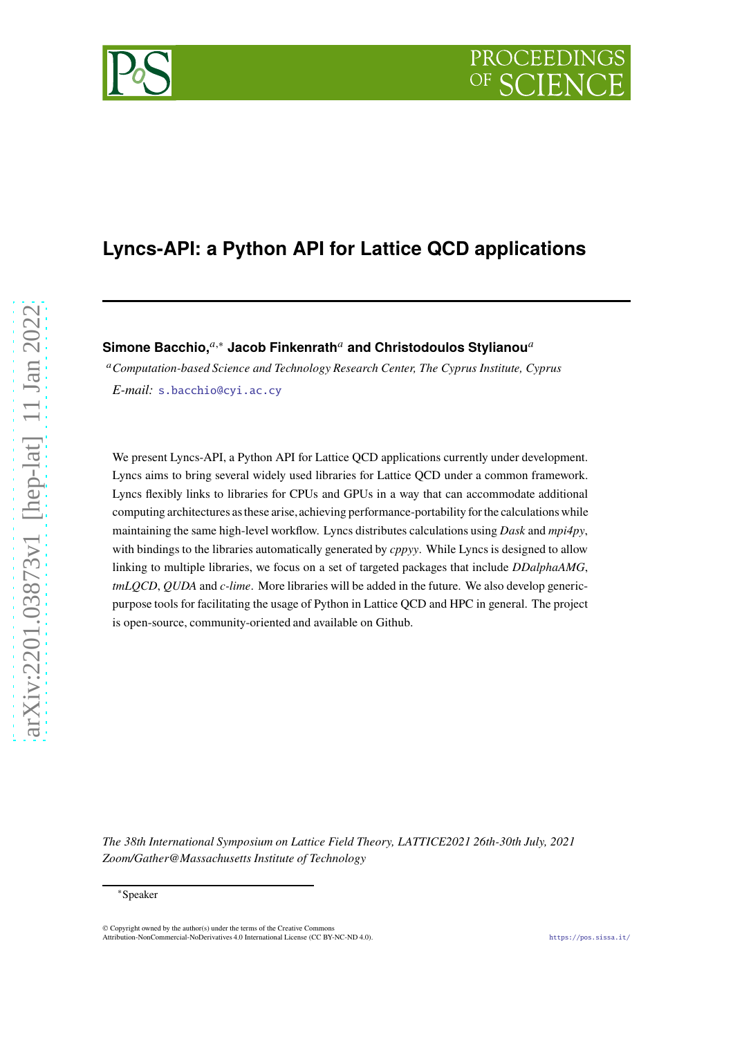# **Lyncs-API: a Python API for Lattice QCD applications**

PROCEEDIN

## **Simone Bacchio,**<sup>*a*,∗</sup> Jacob Finkenrath<sup>*a*</sup> and Christodoulos Stylianou<sup>*a*</sup>

<sup>𝑎</sup>*Computation-based Science and Technology Research Center, The Cyprus Institute, Cyprus E-mail:* [s.bacchio@cyi.ac.cy](mailto:s.bacchio@cyi.ac.cy)

We present Lyncs-API, a Python API for Lattice QCD applications currently under development. Lyncs aims to bring several widely used libraries for Lattice QCD under a common framework. Lyncs flexibly links to libraries for CPUs and GPUs in a way that can accommodate additional computing architectures as these arise,achieving performance-portability for the calculations while maintaining the same high-level workflow. Lyncs distributes calculations using *Dask* and *mpi4py*, with bindings to the libraries automatically generated by *cppyy*. While Lyncs is designed to allow linking to multiple libraries, we focus on a set of targeted packages that include *DDalphaAMG*, *tmLQCD*, *QUDA* and *c-lime*. More libraries will be added in the future. We also develop genericpurpose tools for facilitating the usage of Python in Lattice QCD and HPC in general. The project is open-source, community-oriented and available on Github.

*The 38th International Symposium on Lattice Field Theory, LATTICE2021 26th-30th July, 2021 Zoom/Gather@Massachusetts Institute of Technology*

<sup>∗</sup>Speaker

<sup>©</sup> Copyright owned by the author(s) under the terms of the Creative Commons Attribution-NonCommercial-NoDerivatives 4.0 International License (CC BY-NC-ND 4.0). <https://pos.sissa.it/>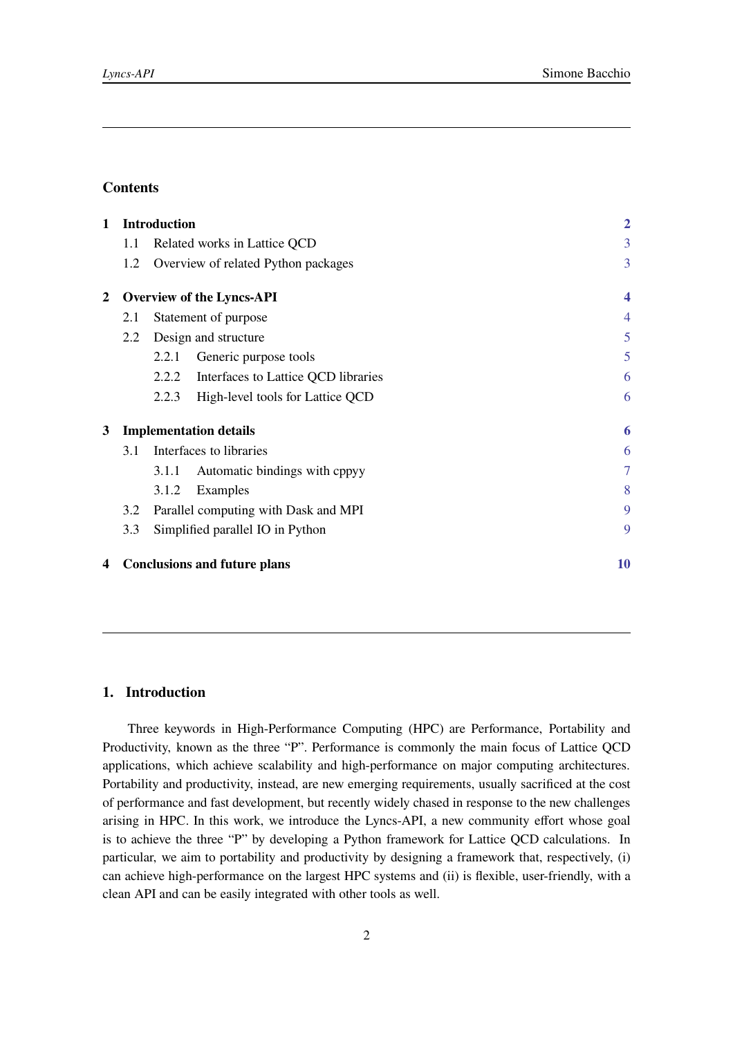## **Contents**

| 1 |                               | <b>Introduction</b>                          | $\overline{2}$      |
|---|-------------------------------|----------------------------------------------|---------------------|
|   | $1.1\,$                       | Related works in Lattice QCD                 | 3                   |
|   | 1.2                           | Overview of related Python packages          | 3                   |
| 2 |                               | <b>Overview of the Lyncs-API</b>             | $\overline{\bf{4}}$ |
|   | 2.1                           | Statement of purpose                         | 4                   |
|   | 2.2                           | Design and structure                         | 5                   |
|   |                               | Generic purpose tools<br>2.2.1               | 5                   |
|   |                               | 2.2.2<br>Interfaces to Lattice QCD libraries | 6                   |
|   |                               | 2.2.3<br>High-level tools for Lattice QCD    | 6                   |
| 3 | <b>Implementation details</b> |                                              |                     |
|   | 3.1                           | Interfaces to libraries                      | 6                   |
|   |                               | Automatic bindings with cppyy<br>3.1.1       | $\overline{7}$      |
|   |                               | 3.1.2<br>Examples                            | 8                   |
|   | 3.2                           | Parallel computing with Dask and MPI         | 9                   |
|   | 3.3                           | Simplified parallel IO in Python             | 9                   |
| 4 |                               | <b>Conclusions and future plans</b>          | 10                  |

## <span id="page-1-0"></span>**1. Introduction**

Three keywords in High-Performance Computing (HPC) are Performance, Portability and Productivity, known as the three "P". Performance is commonly the main focus of Lattice QCD applications, which achieve scalability and high-performance on major computing architectures. Portability and productivity, instead, are new emerging requirements, usually sacrificed at the cost of performance and fast development, but recently widely chased in response to the new challenges arising in HPC. In this work, we introduce the Lyncs-API, a new community effort whose goal is to achieve the three "P" by developing a Python framework for Lattice QCD calculations. In particular, we aim to portability and productivity by designing a framework that, respectively, (i) can achieve high-performance on the largest HPC systems and (ii) is flexible, user-friendly, with a clean API and can be easily integrated with other tools as well.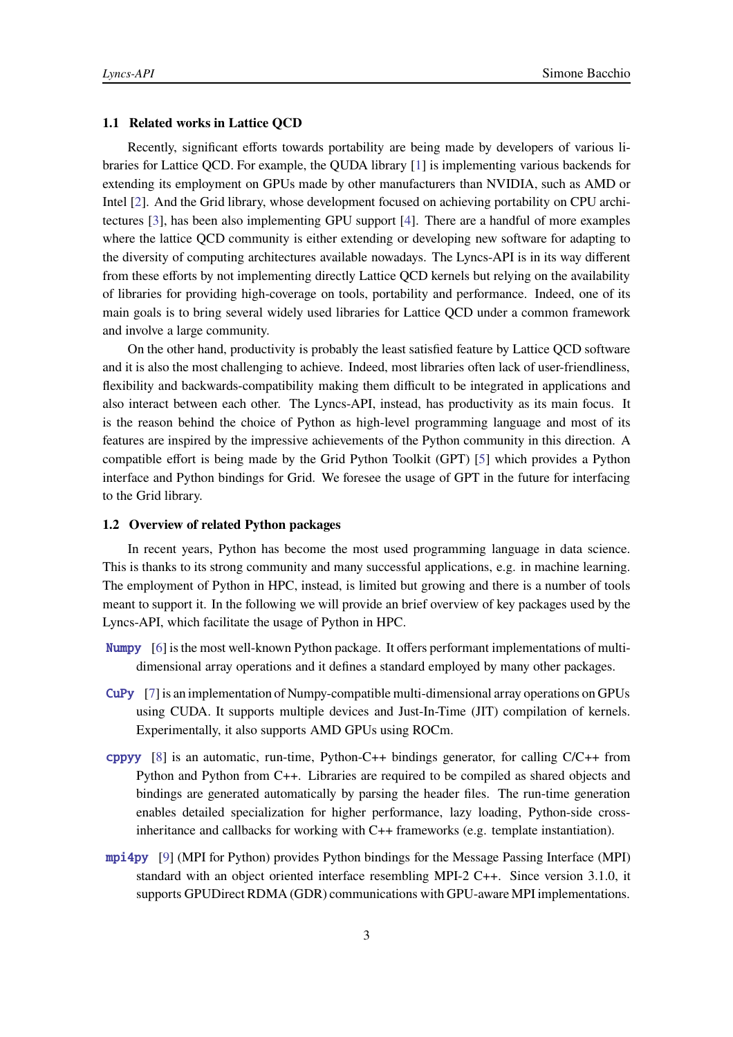## <span id="page-2-0"></span>**1.1 Related works in Lattice QCD**

Recently, significant efforts towards portability are being made by developers of various libraries for Lattice QCD. For example, the QUDA library [\[1](#page-9-1)] is implementing various backends for extending its employment on GPUs made by other manufacturers than NVIDIA, such as AMD or Intel [\[2\]](#page-9-2). And the Grid library, whose development focused on achieving portability on CPU architectures [\[3](#page-9-3)], has been also implementing GPU support [\[4\]](#page-9-4). There are a handful of more examples where the lattice QCD community is either extending or developing new software for adapting to the diversity of computing architectures available nowadays. The Lyncs-API is in its way different from these efforts by not implementing directly Lattice QCD kernels but relying on the availability of libraries for providing high-coverage on tools, portability and performance. Indeed, one of its main goals is to bring several widely used libraries for Lattice QCD under a common framework and involve a large community.

On the other hand, productivity is probably the least satisfied feature by Lattice QCD software and it is also the most challenging to achieve. Indeed, most libraries often lack of user-friendliness, flexibility and backwards-compatibility making them difficult to be integrated in applications and also interact between each other. The Lyncs-API, instead, has productivity as its main focus. It is the reason behind the choice of Python as high-level programming language and most of its features are inspired by the impressive achievements of the Python community in this direction. A compatible effort is being made by the Grid Python Toolkit (GPT) [\[5](#page-10-0)] which provides a Python interface and Python bindings for Grid. We foresee the usage of GPT in the future for interfacing to the Grid library.

## <span id="page-2-1"></span>**1.2 Overview of related Python packages**

In recent years, Python has become the most used programming language in data science. This is thanks to its strong community and many successful applications, e.g. in machine learning. The employment of Python in HPC, instead, is limited but growing and there is a number of tools meant to support it. In the following we will provide an brief overview of key packages used by the Lyncs-API, which facilitate the usage of Python in HPC.

- <span id="page-2-2"></span>[Numpy](https://pypi.org/project/Numpy) [\[6](#page-10-1)] is the most well-known Python package. It offers performant implementations of multidimensional array operations and it defines a standard employed by many other packages.
- <span id="page-2-3"></span>[CuPy](https://pypi.org/project/CuPy) [\[7](#page-10-2)] is an implementation of Numpy-compatible multi-dimensional array operations on GPUs using CUDA. It supports multiple devices and Just-In-Time (JIT) compilation of kernels. Experimentally, it also supports AMD GPUs using ROCm.
- <span id="page-2-4"></span>[cppyy](https://pypi.org/project/cppyy) [\[8](#page-10-3)] is an automatic, run-time, Python-C++ bindings generator, for calling C/C++ from Python and Python from C++. Libraries are required to be compiled as shared objects and bindings are generated automatically by parsing the header files. The run-time generation enables detailed specialization for higher performance, lazy loading, Python-side crossinheritance and callbacks for working with C++ frameworks (e.g. template instantiation).
- <span id="page-2-5"></span>[mpi4py](https://pypi.org/project/mpi4py) [\[9\]](#page-10-4) (MPI for Python) provides Python bindings for the Message Passing Interface (MPI) standard with an object oriented interface resembling MPI-2 C++. Since version 3.1.0, it supports GPUDirect RDMA (GDR) communications with GPU-aware MPI implementations.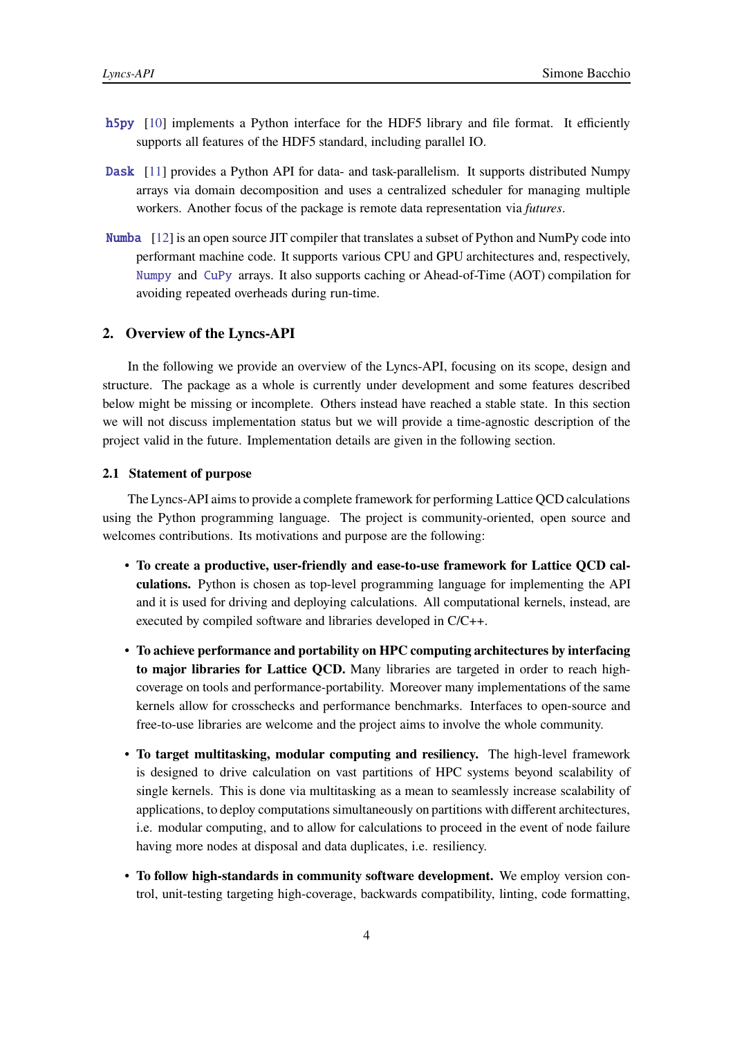- <span id="page-3-3"></span>[h5py](https://pypi.org/project/h5py) [\[10\]](#page-10-5) implements a Python interface for the HDF5 library and file format. It efficiently supports all features of the HDF5 standard, including parallel IO.
- <span id="page-3-2"></span>[Dask](https://pypi.org/project/Dask) [\[11\]](#page-10-6) provides a Python API for data- and task-parallelism. It supports distributed Numpy arrays via domain decomposition and uses a centralized scheduler for managing multiple workers. Another focus of the package is remote data representation via *futures*.
- [Numba](https://pypi.org/project/Numba) [12] is an open source JIT compiler that translates a subset of Python and NumPy code into performant machine code. It supports various CPU and GPU architectures and, respectively, [Numpy](#page-2-2) and [CuPy](#page-2-3) arrays. It also supports caching or Ahead-of-Time (AOT) compilation for avoiding repeated overheads during run-time.

#### <span id="page-3-0"></span>**2. Overview of the Lyncs-API**

In the following we provide an overview of the Lyncs-API, focusing on its scope, design and structure. The package as a whole is currently under development and some features described below might be missing or incomplete. Others instead have reached a stable state. In this section we will not discuss implementation status but we will provide a time-agnostic description of the project valid in the future. Implementation details are given in the following section.

#### <span id="page-3-1"></span>**2.1 Statement of purpose**

The Lyncs-API aims to provide a complete framework for performing Lattice QCD calculations using the Python programming language. The project is community-oriented, open source and welcomes contributions. Its motivations and purpose are the following:

- **To create a productive, user-friendly and ease-to-use framework for Lattice QCD calculations.** Python is chosen as top-level programming language for implementing the API and it is used for driving and deploying calculations. All computational kernels, instead, are executed by compiled software and libraries developed in C/C++.
- **To achieve performance and portability on HPC computing architectures by interfacing to major libraries for Lattice QCD.** Many libraries are targeted in order to reach highcoverage on tools and performance-portability. Moreover many implementations of the same kernels allow for crosschecks and performance benchmarks. Interfaces to open-source and free-to-use libraries are welcome and the project aims to involve the whole community.
- **To target multitasking, modular computing and resiliency.** The high-level framework is designed to drive calculation on vast partitions of HPC systems beyond scalability of single kernels. This is done via multitasking as a mean to seamlessly increase scalability of applications, to deploy computations simultaneously on partitions with different architectures, i.e. modular computing, and to allow for calculations to proceed in the event of node failure having more nodes at disposal and data duplicates, i.e. resiliency.
- **To follow high-standards in community software development.** We employ version control, unit-testing targeting high-coverage, backwards compatibility, linting, code formatting,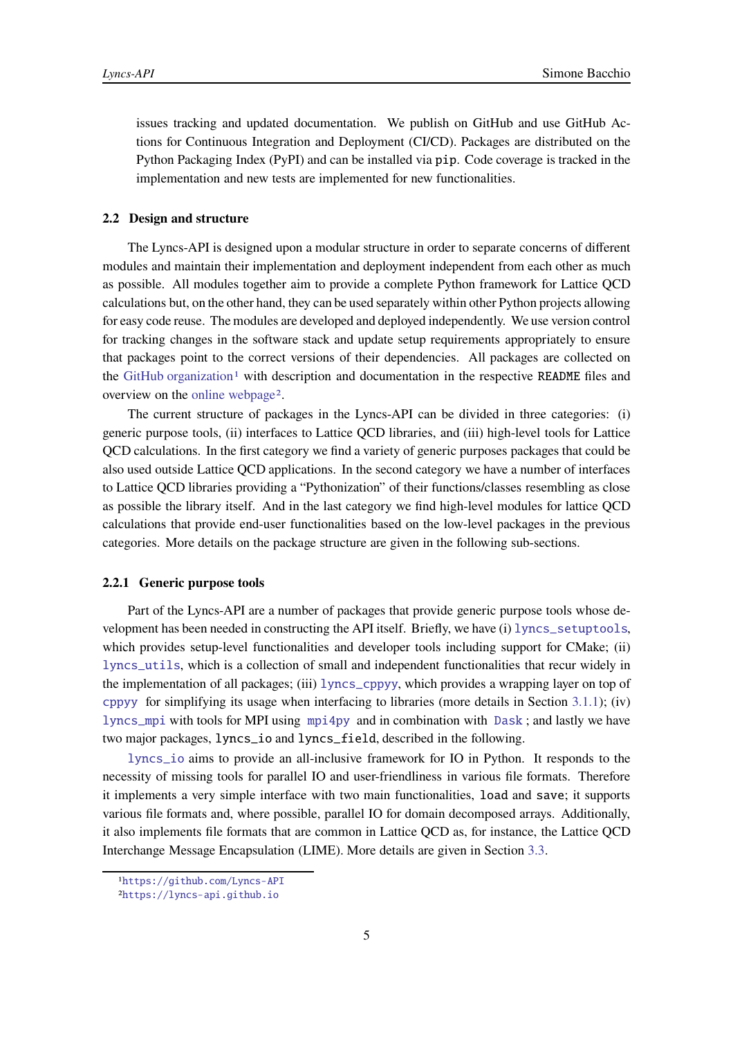issues tracking and updated documentation. We publish on GitHub and use GitHub Actions for Continuous Integration and Deployment (CI/CD). Packages are distributed on the Python Packaging Index (PyPI) and can be installed via pip. Code coverage is tracked in the implementation and new tests are implemented for new functionalities.

#### <span id="page-4-0"></span>**2.2 Design and structure**

The Lyncs-API is designed upon a modular structure in order to separate concerns of different modules and maintain their implementation and deployment independent from each other as much as possible. All modules together aim to provide a complete Python framework for Lattice QCD calculations but, on the other hand, they can be used separately within other Python projects allowing for easy code reuse. The modules are developed and deployed independently. We use version control for tracking changes in the software stack and update setup requirements appropriately to ensure that packages point to the correct versions of their dependencies. All packages are collected on the [GitHub organization](https://github.com/Lyncs-API)<sup>[1](#page-4-2)</sup> with description and documentation in the respective README files and overview on the [online webpage](https://lyncs-api.github.io)[2](#page-4-3).

The current structure of packages in the Lyncs-API can be divided in three categories: (i) generic purpose tools, (ii) interfaces to Lattice QCD libraries, and (iii) high-level tools for Lattice QCD calculations. In the first category we find a variety of generic purposes packages that could be also used outside Lattice QCD applications. In the second category we have a number of interfaces to Lattice QCD libraries providing a "Pythonization" of their functions/classes resembling as close as possible the library itself. And in the last category we find high-level modules for lattice QCD calculations that provide end-user functionalities based on the low-level packages in the previous categories. More details on the package structure are given in the following sub-sections.

#### <span id="page-4-1"></span>**2.2.1 Generic purpose tools**

Part of the Lyncs-API are a number of packages that provide generic purpose tools whose development has been needed in constructing the API itself. Briefly, we have (i) [lyncs\\_setuptools](https://github.com/Lyncs-API/lyncs.setuptools), which provides setup-level functionalities and developer tools including support for CMake; (ii) [lyncs\\_utils](https://github.com/Lyncs-API/lyncs.utils), which is a collection of small and independent functionalities that recur widely in the implementation of all packages; (iii) [lyncs\\_cppyy](https://github.com/Lyncs-API/lyncs.cppyy), which provides a wrapping layer on top of [cppyy](#page-2-4) for simplifying its usage when interfacing to libraries (more details in Section [3.1.1\)](#page-6-0); (iv) [lyncs\\_mpi](https://github.com/Lyncs-API/lyncs.mpi) with tools for MPI using [mpi4py](#page-2-5) and in combination with [Dask](#page-3-2) ; and lastly we have two major packages, lyncs\_io and lyncs\_field, described in the following.

[lyncs\\_io](https://github.com/Lyncs-API/lyncs.io) aims to provide an all-inclusive framework for IO in Python. It responds to the necessity of missing tools for parallel IO and user-friendliness in various file formats. Therefore it implements a very simple interface with two main functionalities, load and save; it supports various file formats and, where possible, parallel IO for domain decomposed arrays. Additionally, it also implements file formats that are common in Lattice QCD as, for instance, the Lattice QCD Interchange Message Encapsulation (LIME). More details are given in Section [3.3.](#page-8-1)

<sup>1</sup><https://github.com/Lyncs-API>

<span id="page-4-3"></span><span id="page-4-2"></span><sup>2</sup><https://lyncs-api.github.io>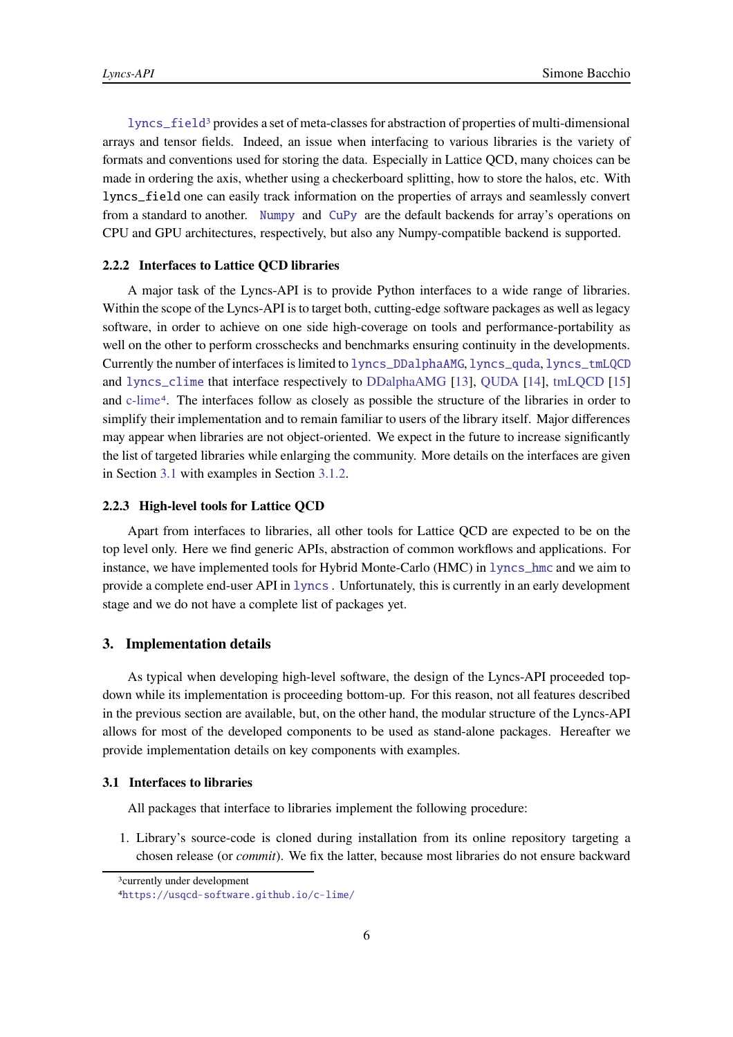[lyncs\\_field](https://github.com/Lyncs-API/lyncs.field)[3](#page-5-4) provides a set of meta-classes for abstraction of properties of multi-dimensional arrays and tensor fields. Indeed, an issue when interfacing to various libraries is the variety of formats and conventions used for storing the data. Especially in Lattice QCD, many choices can be made in ordering the axis, whether using a checkerboard splitting, how to store the halos, etc. With lyncs\_field one can easily track information on the properties of arrays and seamlessly convert from a standard to another. [Numpy](#page-2-2) and [CuPy](#page-2-3) are the default backends for array's operations on CPU and GPU architectures, respectively, but also any Numpy-compatible backend is supported.

## <span id="page-5-0"></span>**2.2.2 Interfaces to Lattice QCD libraries**

A major task of the Lyncs-API is to provide Python interfaces to a wide range of libraries. Within the scope of the Lyncs-API is to target both, cutting-edge software packages as well as legacy software, in order to achieve on one side high-coverage on tools and performance-portability as well on the other to perform crosschecks and benchmarks ensuring continuity in the developments. Currently the number of interfaces is limited to [lyncs\\_DDalphaAMG](https://github.com/Lyncs-API/lyncs.DDalphaAMG), [lyncs\\_quda](https://github.com/Lyncs-API/lyncs.quda), [lyncs\\_tmLQCD](https://github.com/Lyncs-API/lyncs.tmLQCD) and [lyncs\\_clime](https://github.com/Lyncs-API/lyncs.clime) that interface respectively to [DDalphaAMG](https://github.com/sbacchio/DDalphaAMG) [\[13](#page-10-7)], [QUDA](https://github.com/lattice/quda) [\[14](#page-10-8)], [tmLQCD](https://github.com/etmc/tmLQCD) [\[15](#page-10-9)] and [c-lime](https://usqcd-software.github.io/c-lime/)[4](#page-5-5). The interfaces follow as closely as possible the structure of the libraries in order to simplify their implementation and to remain familiar to users of the library itself. Major differences may appear when libraries are not object-oriented. We expect in the future to increase significantly the list of targeted libraries while enlarging the community. More details on the interfaces are given in Section [3.1](#page-5-3) with examples in Section [3.1.2.](#page-7-0)

#### <span id="page-5-1"></span>**2.2.3 High-level tools for Lattice QCD**

Apart from interfaces to libraries, all other tools for Lattice QCD are expected to be on the top level only. Here we find generic APIs, abstraction of common workflows and applications. For instance, we have implemented tools for Hybrid Monte-Carlo (HMC) in [lyncs\\_hmc](https://github.com/Lyncs-API/lyncs.hmc) and we aim to provide a complete end-user API in [lyncs](https://github.com/Lyncs-API/lyncs) . Unfortunately, this is currently in an early development stage and we do not have a complete list of packages yet.

## <span id="page-5-2"></span>**3. Implementation details**

As typical when developing high-level software, the design of the Lyncs-API proceeded topdown while its implementation is proceeding bottom-up. For this reason, not all features described in the previous section are available, but, on the other hand, the modular structure of the Lyncs-API allows for most of the developed components to be used as stand-alone packages. Hereafter we provide implementation details on key components with examples.

## <span id="page-5-3"></span>**3.1 Interfaces to libraries**

All packages that interface to libraries implement the following procedure:

1. Library's source-code is cloned during installation from its online repository targeting a chosen release (or *commit*). We fix the latter, because most libraries do not ensure backward

<sup>3</sup>currently under development

<span id="page-5-5"></span><span id="page-5-4"></span><sup>4</sup><https://usqcd-software.github.io/c-lime/>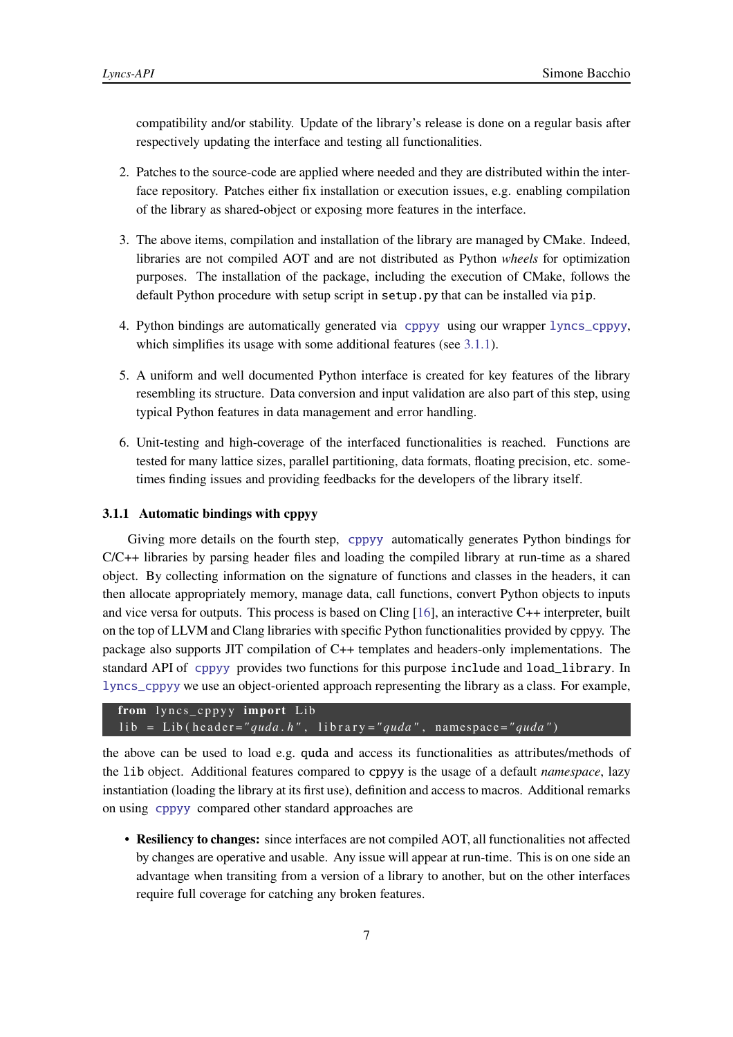compatibility and/or stability. Update of the library's release is done on a regular basis after respectively updating the interface and testing all functionalities.

- 2. Patches to the source-code are applied where needed and they are distributed within the interface repository. Patches either fix installation or execution issues, e.g. enabling compilation of the library as shared-object or exposing more features in the interface.
- 3. The above items, compilation and installation of the library are managed by CMake. Indeed, libraries are not compiled AOT and are not distributed as Python *wheels* for optimization purposes. The installation of the package, including the execution of CMake, follows the default Python procedure with setup script in setup.py that can be installed via pip.
- 4. Python bindings are automatically generated via [cppyy](#page-2-4) using our wrapper [lyncs\\_cppyy](https://github.com/Lyncs-API/lyncs.cppyy), which simplifies its usage with some additional features (see [3.1.1\)](#page-6-0).
- 5. A uniform and well documented Python interface is created for key features of the library resembling its structure. Data conversion and input validation are also part of this step, using typical Python features in data management and error handling.
- 6. Unit-testing and high-coverage of the interfaced functionalities is reached. Functions are tested for many lattice sizes, parallel partitioning, data formats, floating precision, etc. sometimes finding issues and providing feedbacks for the developers of the library itself.

## <span id="page-6-0"></span>**3.1.1 Automatic bindings with cppyy**

Giving more details on the fourth step, [cppyy](#page-2-4) automatically generates Python bindings for C/C++ libraries by parsing header files and loading the compiled library at run-time as a shared object. By collecting information on the signature of functions and classes in the headers, it can then allocate appropriately memory, manage data, call functions, convert Python objects to inputs and vice versa for outputs. This process is based on Cling [\[16](#page-10-10)], an interactive C++ interpreter, built on the top of LLVM and Clang libraries with specific Python functionalities provided by cppyy. The package also supports JIT compilation of C++ templates and headers-only implementations. The standard API of [cppyy](#page-2-4) provides two functions for this purpose include and load\_library. In [lyncs\\_cppyy](https://github.com/Lyncs-API/lyncs.cppyy) we use an object-oriented approach representing the library as a class. For example,

```
from lyncs_cppyy import Lib
lib = Lib(header="quda.h", library="quda", namespace="quda")
```
the above can be used to load e.g. quda and access its functionalities as attributes/methods of the lib object. Additional features compared to cppyy is the usage of a default *namespace*, lazy instantiation (loading the library at its first use), definition and access to macros. Additional remarks on using [cppyy](#page-2-4) compared other standard approaches are

• **Resiliency to changes:** since interfaces are not compiled AOT, all functionalities not affected by changes are operative and usable. Any issue will appear at run-time. This is on one side an advantage when transiting from a version of a library to another, but on the other interfaces require full coverage for catching any broken features.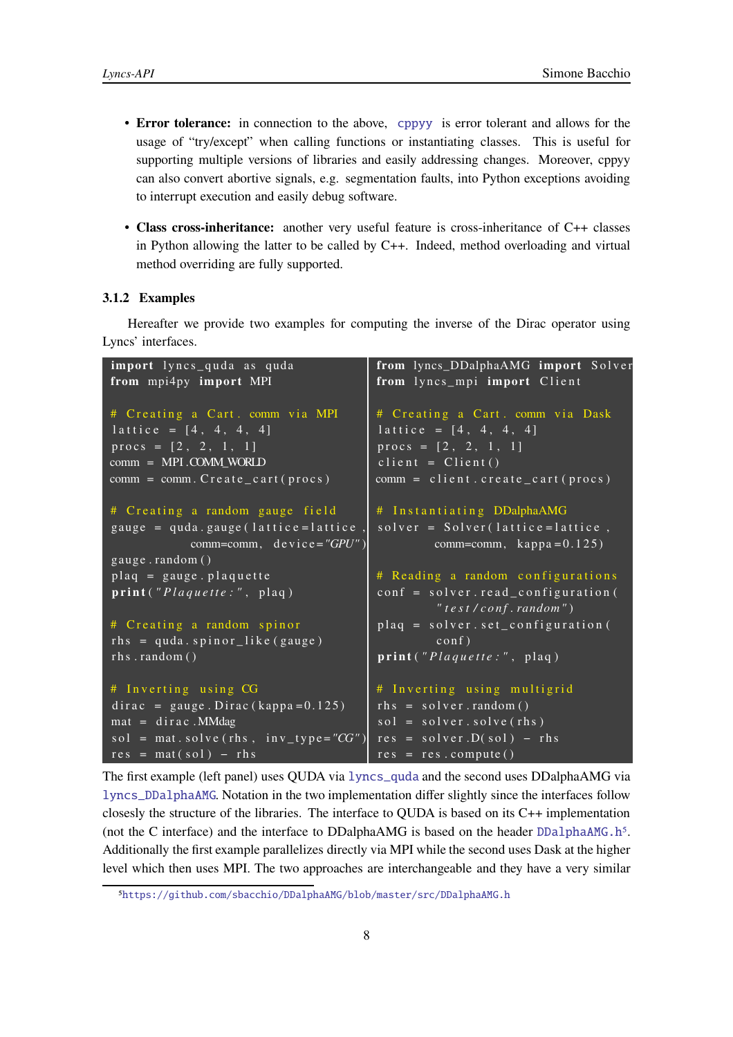- **Error tolerance:** in connection to the above, [cppyy](#page-2-4) is error tolerant and allows for the usage of "try/except" when calling functions or instantiating classes. This is useful for supporting multiple versions of libraries and easily addressing changes. Moreover, cppyy can also convert abortive signals, e.g. segmentation faults, into Python exceptions avoiding to interrupt execution and easily debug software.
- **Class cross-inheritance:** another very useful feature is cross-inheritance of C++ classes in Python allowing the latter to be called by C++. Indeed, method overloading and virtual method overriding are fully supported.

## <span id="page-7-0"></span>**3.1.2 Examples**

Hereafter we provide two examples for computing the inverse of the Dirac operator using Lyncs' interfaces.

```
import lyncs_quda as quda
from mpi4py import MPI
# Creating a Cart. comm via MPI
lattice = [4, 4, 4, 4]\text{process} = [2, 2, 1, 1]comm = MPI .COMM_WORLD
comm = comm. Create\_cart ( process)# Creating a random gauge field
\overline{gauge} = quda. gauge (lattice=lattice)
            comm=comm, device="GPU")
gau ge . random ( )
plaq = gauge. plaquetteprint ("Plaquette:", plaq)
# Creating a random spinor
rhs = quada \cdot spinor like (gauge)
rhs.random()
# Inverting using CG
dirac = gauge. Dirac (kappa=0.125)\text{mat} = \text{dirac} \cdot \text{MMdag}sol = \text{mat}.\,\text{solve}(\text{rhs}, \text{inv}_\text{type} = "CG")res = mat(sol) - rhsfrom lyncs_DDalphaAMG import Solver
                                         from lyncs_mpi import Client
                                         # Creating a Cart. comm via Dask
                                         lattice = [4, 4, 4, 4]procs = [2, 2, 1, 1]client = Client()comm = client.created\_cart (process)# Instantiating DDalphaAMG
                                          solve = Solve (lattice=lattice,
                                                  comm=comm, \text{kappa} = 0.125)
                                         # Reading a random configurations
                                         conf = solver.read\_configuration" t e s t / c o nf . random " )
                                         plane = solver. set_configuration (
                                                   \cosh f)
                                         print ("Plaquette:", plaq)
                                         # Inverting using multigrid
                                         rhs = solver.random()sol = solver.solve(rhs)res = solver.D(sol) - rhsres = res.compute()
```
The first example (left panel) uses QUDA via [lyncs\\_quda](https://github.com/Lyncs-API/lyncs.quda) and the second uses DDalphaAMG via [lyncs\\_DDalphaAMG](https://github.com/Lyncs-API/lyncs.DDalphaAMG). Notation in the two implementation differ slightly since the interfaces follow closesly the structure of the libraries. The interface to QUDA is based on its C++ implementation (not the C interface) and the interface to DDalphaAMG is based on the header [DDalphaAMG.h](https://github.com/sbacchio/DDalphaAMG/blob/master/src/DDalphaAMG.h)<sup>[5](#page-7-1)</sup>. Additionally the first example parallelizes directly via MPI while the second uses Dask at the higher level which then uses MPI. The two approaches are interchangeable and they have a very similar

<span id="page-7-1"></span><sup>5</sup><https://github.com/sbacchio/DDalphaAMG/blob/master/src/DDalphaAMG.h>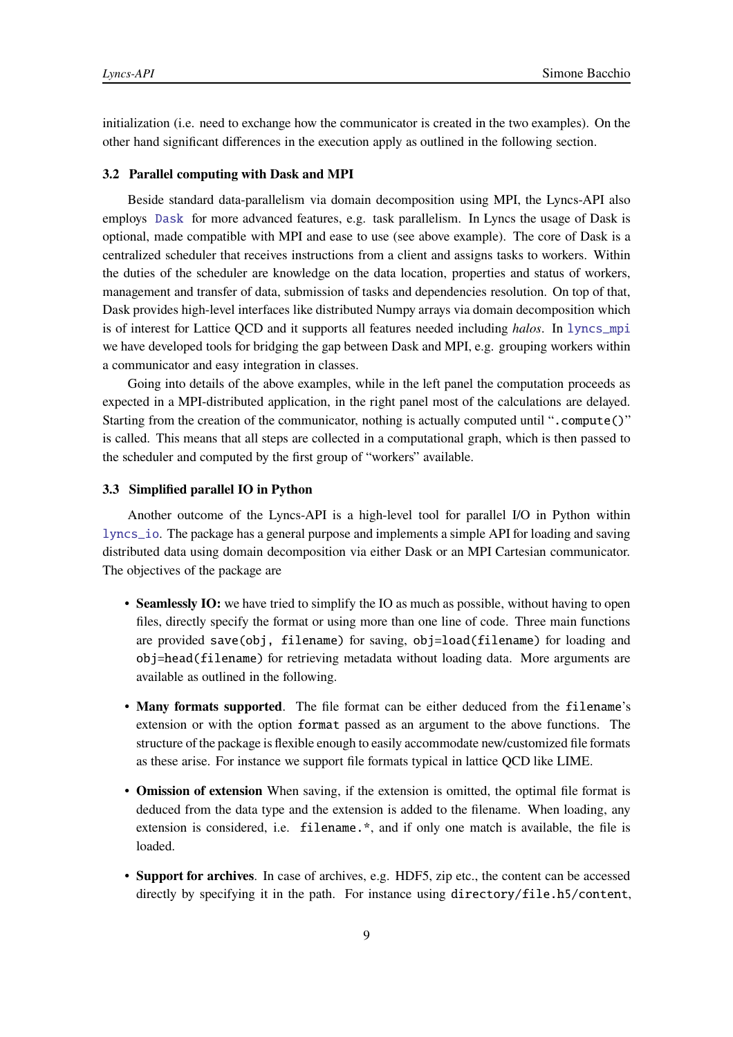initialization (i.e. need to exchange how the communicator is created in the two examples). On the other hand significant differences in the execution apply as outlined in the following section.

#### <span id="page-8-0"></span>**3.2 Parallel computing with Dask and MPI**

Beside standard data-parallelism via domain decomposition using MPI, the Lyncs-API also employs [Dask](#page-3-2) for more advanced features, e.g. task parallelism. In Lyncs the usage of Dask is optional, made compatible with MPI and ease to use (see above example). The core of Dask is a centralized scheduler that receives instructions from a client and assigns tasks to workers. Within the duties of the scheduler are knowledge on the data location, properties and status of workers, management and transfer of data, submission of tasks and dependencies resolution. On top of that, Dask provides high-level interfaces like distributed Numpy arrays via domain decomposition which is of interest for Lattice QCD and it supports all features needed including *halos*. In [lyncs\\_mpi](https://github.com/Lyncs-API/lyncs.mpi) we have developed tools for bridging the gap between Dask and MPI, e.g. grouping workers within a communicator and easy integration in classes.

Going into details of the above examples, while in the left panel the computation proceeds as expected in a MPI-distributed application, in the right panel most of the calculations are delayed. Starting from the creation of the communicator, nothing is actually computed until ".compute()" is called. This means that all steps are collected in a computational graph, which is then passed to the scheduler and computed by the first group of "workers" available.

#### <span id="page-8-1"></span>**3.3 Simplified parallel IO in Python**

Another outcome of the Lyncs-API is a high-level tool for parallel I/O in Python within [lyncs\\_io](https://github.com/Lyncs-API/lyncs.io). The package has a general purpose and implements a simple API for loading and saving distributed data using domain decomposition via either Dask or an MPI Cartesian communicator. The objectives of the package are

- **Seamlessly IO:** we have tried to simplify the IO as much as possible, without having to open files, directly specify the format or using more than one line of code. Three main functions are provided save(obj, filename) for saving, obj=load(filename) for loading and obj=head(filename) for retrieving metadata without loading data. More arguments are available as outlined in the following.
- **Many formats supported**. The file format can be either deduced from the filename's extension or with the option format passed as an argument to the above functions. The structure of the package is flexible enough to easily accommodate new/customized file formats as these arise. For instance we support file formats typical in lattice QCD like LIME.
- **Omission of extension** When saving, if the extension is omitted, the optimal file format is deduced from the data type and the extension is added to the filename. When loading, any extension is considered, i.e. filename.\*, and if only one match is available, the file is loaded.
- **Support for archives**. In case of archives, e.g. HDF5, zip etc., the content can be accessed directly by specifying it in the path. For instance using directory/file.h5/content,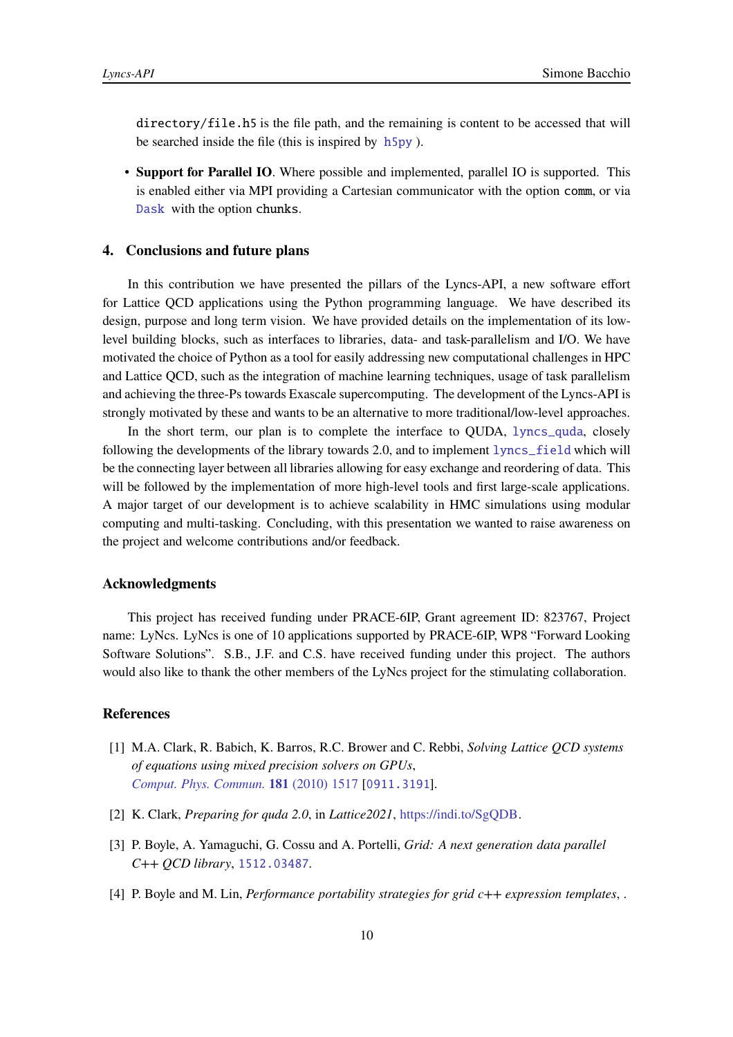directory/file.h5 is the file path, and the remaining is content to be accessed that will be searched inside the file (this is inspired by [h5py](#page-3-3) ).

• **Support for Parallel IO**. Where possible and implemented, parallel IO is supported. This is enabled either via MPI providing a Cartesian communicator with the option comm, or via [Dask](#page-3-2) with the option chunks.

#### <span id="page-9-0"></span>**4. Conclusions and future plans**

In this contribution we have presented the pillars of the Lyncs-API, a new software effort for Lattice QCD applications using the Python programming language. We have described its design, purpose and long term vision. We have provided details on the implementation of its lowlevel building blocks, such as interfaces to libraries, data- and task-parallelism and I/O. We have motivated the choice of Python as a tool for easily addressing new computational challenges in HPC and Lattice QCD, such as the integration of machine learning techniques, usage of task parallelism and achieving the three-Ps towards Exascale supercomputing. The development of the Lyncs-API is strongly motivated by these and wants to be an alternative to more traditional/low-level approaches.

In the short term, our plan is to complete the interface to QUDA, [lyncs\\_quda](https://github.com/Lyncs-API/lyncs.quda), closely following the developments of the library towards 2.0, and to implement [lyncs\\_field](https://github.com/Lyncs-API/lyncs.field) which will be the connecting layer between all libraries allowing for easy exchange and reordering of data. This will be followed by the implementation of more high-level tools and first large-scale applications. A major target of our development is to achieve scalability in HMC simulations using modular computing and multi-tasking. Concluding, with this presentation we wanted to raise awareness on the project and welcome contributions and/or feedback.

#### **Acknowledgments**

This project has received funding under PRACE-6IP, Grant agreement ID: 823767, Project name: LyNcs. LyNcs is one of 10 applications supported by PRACE-6IP, WP8 "Forward Looking Software Solutions". S.B., J.F. and C.S. have received funding under this project. The authors would also like to thank the other members of the LyNcs project for the stimulating collaboration.

## **References**

- <span id="page-9-1"></span>[1] M.A. Clark, R. Babich, K. Barros, R.C. Brower and C. Rebbi, *Solving Lattice QCD systems of equations using mixed precision solvers on GPUs*, *[Comput. Phys. Commun.](https://doi.org/10.1016/j.cpc.2010.05.002)* **181** (2010) 1517 [[0911.3191](https://arxiv.org/abs/0911.3191)].
- <span id="page-9-2"></span>[2] K. Clark, *Preparing for quda 2.0*, in *Lattice2021*, [https://indi.to/SgQDB.](https://indi.to/SgQDB)
- <span id="page-9-3"></span>[3] P. Boyle, A. Yamaguchi, G. Cossu and A. Portelli, *Grid: A next generation data parallel C++ QCD library*, [1512.03487](https://arxiv.org/abs/1512.03487).
- <span id="page-9-4"></span>[4] P. Boyle and M. Lin, *Performance portability strategies for grid c++ expression templates*, .